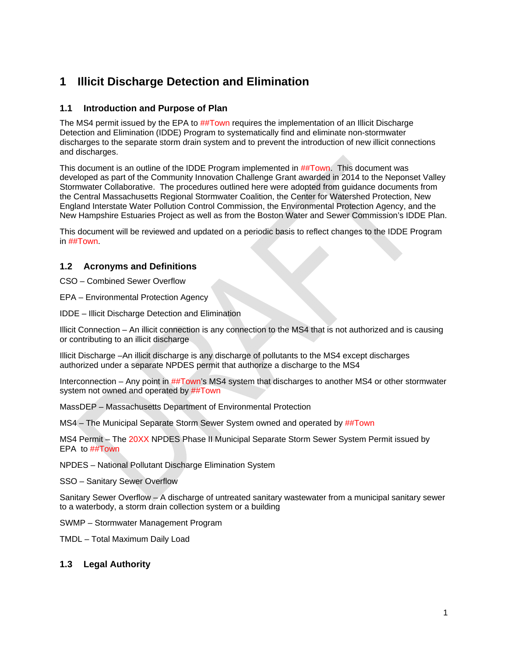# **1 Illicit Discharge Detection and Elimination**

## **1.1 Introduction and Purpose of Plan**

The MS4 permit issued by the EPA to ##Town requires the implementation of an Illicit Discharge Detection and Elimination (IDDE) Program to systematically find and eliminate non-stormwater discharges to the separate storm drain system and to prevent the introduction of new illicit connections and discharges.

This document is an outline of the IDDE Program implemented in ##Town. This document was developed as part of the Community Innovation Challenge Grant awarded in 2014 to the Neponset Valley Stormwater Collaborative. The procedures outlined here were adopted from guidance documents from the Central Massachusetts Regional Stormwater Coalition, the Center for Watershed Protection, New England Interstate Water Pollution Control Commission, the Environmental Protection Agency, and the New Hampshire Estuaries Project as well as from the Boston Water and Sewer Commission's IDDE Plan.

This document will be reviewed and updated on a periodic basis to reflect changes to the IDDE Program in ##Town.

## **1.2 Acronyms and Definitions**

CSO – Combined Sewer Overflow

EPA – Environmental Protection Agency

IDDE – Illicit Discharge Detection and Elimination

Illicit Connection – An illicit connection is any connection to the MS4 that is not authorized and is causing or contributing to an illicit discharge

Illicit Discharge –An illicit discharge is any discharge of pollutants to the MS4 except discharges authorized under a separate NPDES permit that authorize a discharge to the MS4

Interconnection – Any point in ##Town's MS4 system that discharges to another MS4 or other stormwater system not owned and operated by **##Town** 

MassDEP – Massachusetts Department of Environmental Protection

MS4 – The Municipal Separate Storm Sewer System owned and operated by ##Town

MS4 Permit – The 20XX NPDES Phase II Municipal Separate Storm Sewer System Permit issued by EPA to ##Town

NPDES – National Pollutant Discharge Elimination System

SSO – Sanitary Sewer Overflow

Sanitary Sewer Overflow – A discharge of untreated sanitary wastewater from a municipal sanitary sewer to a waterbody, a storm drain collection system or a building

SWMP – Stormwater Management Program

TMDL – Total Maximum Daily Load

## **1.3 Legal Authority**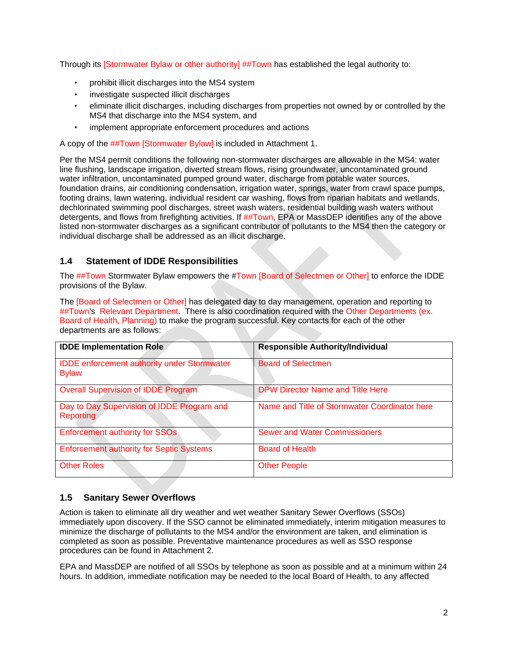Through its [Stormwater Bylaw or other authority] ##Town has established the legal authority to:

- prohibit illicit discharges into the MS4 system
- investigate suspected illicit discharges
- eliminate illicit discharges, including discharges from properties not owned by or controlled by the MS4 that discharge into the MS4 system, and
- implement appropriate enforcement procedures and actions

A copy of the ##Town [Stormwater Bylaw] is included in Attachment 1.

Per the MS4 permit conditions the following non-stormwater discharges are allowable in the MS4: water line flushing, landscape irrigation, diverted stream flows, rising groundwater, uncontaminated ground water infiltration, uncontaminated pumped ground water, discharge from potable water sources, foundation drains, air conditioning condensation, irrigation water, springs, water from crawl space pumps, footing drains, lawn watering, individual resident car washing, flows from riparian habitats and wetlands, dechlorinated swimming pool discharges, street wash waters, residential building wash waters without detergents, and flows from firefighting activities. If ##Town, EPA or MassDEP identifies any of the above listed non-stormwater discharges as a significant contributor of pollutants to the MS4 then the category or individual discharge shall be addressed as an illicit discharge.

## **1.4 Statement of IDDE Responsibilities**

The ##Town Stormwater Bylaw empowers the #Town [Board of Selectmen or Other] to enforce the IDDE provisions of the Bylaw.

The [Board of Selectmen or Other] has delegated day to day management, operation and reporting to ##Town's Relevant Department. There is also coordination required with the Other Departments (ex. Board of Health, Planning) to make the program successful. Key contacts for each of the other departments are as follows:

| <b>IDDE Implementation Role</b>                                    | <b>Responsible Authority/Individual</b>       |
|--------------------------------------------------------------------|-----------------------------------------------|
| <b>IDDE</b> enforcement authority under Stormwater<br><b>Bylaw</b> | <b>Board of Selectmen</b>                     |
| <b>Overall Supervision of IDDE Program</b>                         | <b>DPW Director Name and Title Here</b>       |
| Day to Day Supervision of IDDE Program and<br><b>Reporting</b>     | Name and Title of Stormwater Coordinator here |
| <b>Enforcement authority for SSOs</b>                              | <b>Sewer and Water Commissioners</b>          |
| <b>Enforcement authority for Septic Systems</b>                    | <b>Board of Health</b>                        |
| <b>Other Roles</b>                                                 | <b>Other People</b>                           |

## **1.5 Sanitary Sewer Overflows**

Action is taken to eliminate all dry weather and wet weather Sanitary Sewer Overflows (SSOs) immediately upon discovery. If the SSO cannot be eliminated immediately, interim mitigation measures to minimize the discharge of pollutants to the MS4 and/or the environment are taken, and elimination is completed as soon as possible. Preventative maintenance procedures as well as SSO response procedures can be found in Attachment 2.

EPA and MassDEP are notified of all SSOs by telephone as soon as possible and at a minimum within 24 hours. In addition, immediate notification may be needed to the local Board of Health, to any affected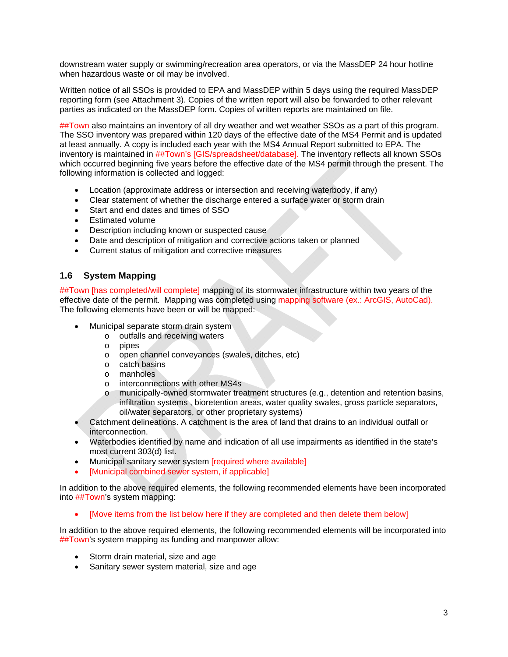downstream water supply or swimming/recreation area operators, or via the MassDEP 24 hour hotline when hazardous waste or oil may be involved.

Written notice of all SSOs is provided to EPA and MassDEP within 5 days using the required MassDEP reporting form (see Attachment 3). Copies of the written report will also be forwarded to other relevant parties as indicated on the MassDEP form. Copies of written reports are maintained on file.

##Town also maintains an inventory of all dry weather and wet weather SSOs as a part of this program. The SSO inventory was prepared within 120 days of the effective date of the MS4 Permit and is updated at least annually. A copy is included each year with the MS4 Annual Report submitted to EPA. The inventory is maintained in ##Town's [GIS/spreadsheet/database]. The inventory reflects all known SSOs which occurred beginning five years before the effective date of the MS4 permit through the present. The following information is collected and logged:

- Location (approximate address or intersection and receiving waterbody, if any)
- Clear statement of whether the discharge entered a surface water or storm drain
- Start and end dates and times of SSO
- Estimated volume
- Description including known or suspected cause
- Date and description of mitigation and corrective actions taken or planned
- Current status of mitigation and corrective measures

## **1.6 System Mapping**

##Town [has completed/will complete] mapping of its stormwater infrastructure within two years of the effective date of the permit. Mapping was completed using mapping software (ex.: ArcGIS, AutoCad). The following elements have been or will be mapped:

- Municipal separate storm drain system
	- o outfalls and receiving waters
		- o pipes
	- o open channel conveyances (swales, ditches, etc)
	- o catch basins
	- o manholes
	- interconnections with other MS4s
	- o municipally-owned stormwater treatment structures (e.g., detention and retention basins, infiltration systems , bioretention areas, water quality swales, gross particle separators, oil/water separators, or other proprietary systems)
- Catchment delineations. A catchment is the area of land that drains to an individual outfall or interconnection.
- Waterbodies identified by name and indication of all use impairments as identified in the state's most current 303(d) list.
- Municipal sanitary sewer system **[required where available]**
- [Municipal combined sewer system, if applicable]

In addition to the above required elements, the following recommended elements have been incorporated into ##Town's system mapping:

[Move items from the list below here if they are completed and then delete them below]

In addition to the above required elements, the following recommended elements will be incorporated into ##Town's system mapping as funding and manpower allow:

- Storm drain material, size and age
- Sanitary sewer system material, size and age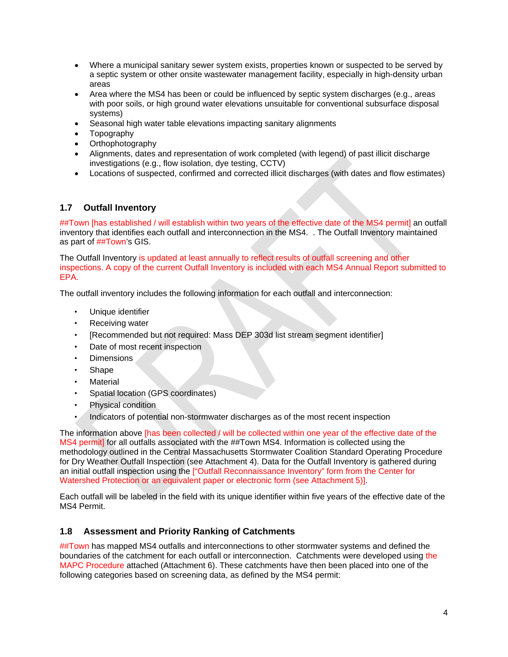- Where a municipal sanitary sewer system exists, properties known or suspected to be served by a septic system or other onsite wastewater management facility, especially in high-density urban areas
- Area where the MS4 has been or could be influenced by septic system discharges (e.g., areas with poor soils, or high ground water elevations unsuitable for conventional subsurface disposal systems)
- Seasonal high water table elevations impacting sanitary alignments
- Topography
- Orthophotography
- Alignments, dates and representation of work completed (with legend) of past illicit discharge investigations (e.g., flow isolation, dye testing, CCTV)
- Locations of suspected, confirmed and corrected illicit discharges (with dates and flow estimates)

## **1.7 Outfall Inventory**

##Town [has established / will establish within two years of the effective date of the MS4 permit] an outfall inventory that identifies each outfall and interconnection in the MS4. . The Outfall Inventory maintained as part of ##Town's GIS.

The Outfall Inventory is updated at least annually to reflect results of outfall screening and other inspections. A copy of the current Outfall Inventory is included with each MS4 Annual Report submitted to EPA.

The outfall inventory includes the following information for each outfall and interconnection:

- Unique identifier
- Receiving water
- [Recommended but not required: Mass DEP 303d list stream segment identifier]
- Date of most recent inspection
- Dimensions
- Shape
- **Material**
- Spatial location (GPS coordinates)
- Physical condition
- Indicators of potential non-stormwater discharges as of the most recent inspection

The information above [has been collected / will be collected within one year of the effective date of the MS4 permit] for all outfalls associated with the ##Town MS4. Information is collected using the methodology outlined in the Central Massachusetts Stormwater Coalition Standard Operating Procedure for Dry Weather Outfall Inspection (see Attachment 4). Data for the Outfall Inventory is gathered during an initial outfall inspection using the ["Outfall Reconnaissance Inventory" form from the Center for Watershed Protection or an equivalent paper or electronic form (see Attachment 5)].

Each outfall will be labeled in the field with its unique identifier within five years of the effective date of the MS4 Permit.

## **1.8 Assessment and Priority Ranking of Catchments**

##Town has mapped MS4 outfalls and interconnections to other stormwater systems and defined the boundaries of the catchment for each outfall or interconnection. Catchments were developed using the MAPC Procedure attached (Attachment 6). These catchments have then been placed into one of the following categories based on screening data, as defined by the MS4 permit: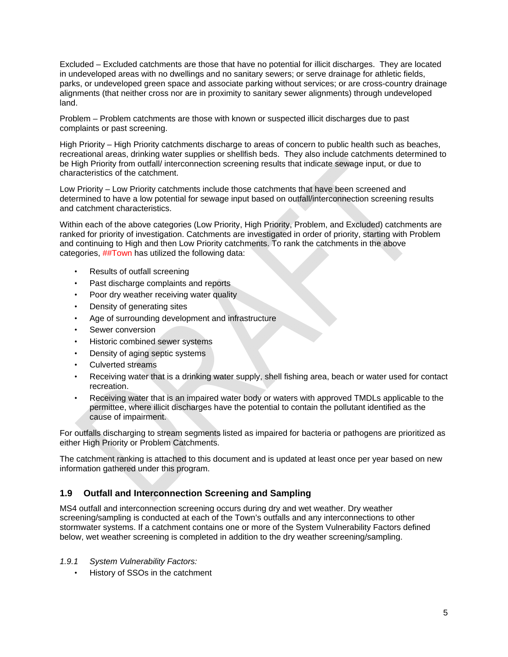Excluded – Excluded catchments are those that have no potential for illicit discharges. They are located in undeveloped areas with no dwellings and no sanitary sewers; or serve drainage for athletic fields, parks, or undeveloped green space and associate parking without services; or are cross-country drainage alignments (that neither cross nor are in proximity to sanitary sewer alignments) through undeveloped land.

Problem – Problem catchments are those with known or suspected illicit discharges due to past complaints or past screening.

High Priority – High Priority catchments discharge to areas of concern to public health such as beaches, recreational areas, drinking water supplies or shellfish beds. They also include catchments determined to be High Priority from outfall/ interconnection screening results that indicate sewage input, or due to characteristics of the catchment.

Low Priority – Low Priority catchments include those catchments that have been screened and determined to have a low potential for sewage input based on outfall/interconnection screening results and catchment characteristics.

Within each of the above categories (Low Priority, High Priority, Problem, and Excluded) catchments are ranked for priority of investigation. Catchments are investigated in order of priority, starting with Problem and continuing to High and then Low Priority catchments. To rank the catchments in the above categories, ##Town has utilized the following data:

- Results of outfall screening
- Past discharge complaints and reports
- Poor dry weather receiving water quality
- Density of generating sites
- Age of surrounding development and infrastructure
- Sewer conversion
- Historic combined sewer systems
- Density of aging septic systems
- Culverted streams
- Receiving water that is a drinking water supply, shell fishing area, beach or water used for contact recreation.
- Receiving water that is an impaired water body or waters with approved TMDLs applicable to the permittee, where illicit discharges have the potential to contain the pollutant identified as the cause of impairment.

For outfalls discharging to stream segments listed as impaired for bacteria or pathogens are prioritized as either High Priority or Problem Catchments.

The catchment ranking is attached to this document and is updated at least once per year based on new information gathered under this program.

## **1.9 Outfall and Interconnection Screening and Sampling**

MS4 outfall and interconnection screening occurs during dry and wet weather. Dry weather screening/sampling is conducted at each of the Town's outfalls and any interconnections to other stormwater systems. If a catchment contains one or more of the System Vulnerability Factors defined below, wet weather screening is completed in addition to the dry weather screening/sampling.

- *1.9.1 System Vulnerability Factors:* 
	- History of SSOs in the catchment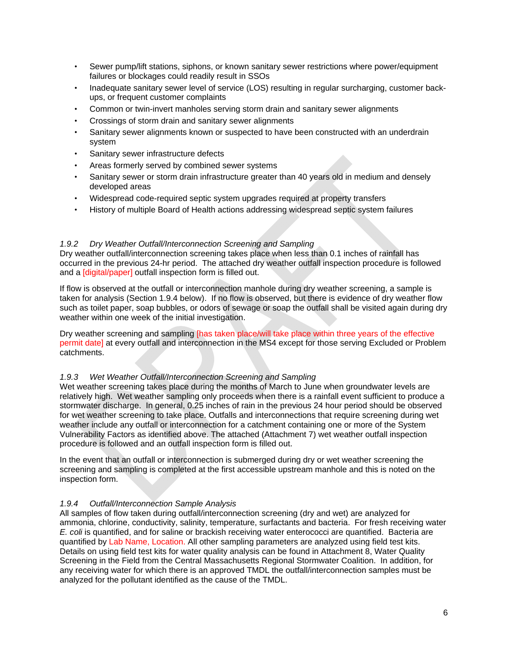- Sewer pump/lift stations, siphons, or known sanitary sewer restrictions where power/equipment failures or blockages could readily result in SSOs
- Inadequate sanitary sewer level of service (LOS) resulting in regular surcharging, customer backups, or frequent customer complaints
- Common or twin-invert manholes serving storm drain and sanitary sewer alignments
- Crossings of storm drain and sanitary sewer alignments
- Sanitary sewer alignments known or suspected to have been constructed with an underdrain system
- Sanitary sewer infrastructure defects
- Areas formerly served by combined sewer systems
- Sanitary sewer or storm drain infrastructure greater than 40 years old in medium and densely developed areas
- Widespread code-required septic system upgrades required at property transfers
- History of multiple Board of Health actions addressing widespread septic system failures

#### *1.9.2 Dry Weather Outfall/Interconnection Screening and Sampling*

Dry weather outfall/interconnection screening takes place when less than 0.1 inches of rainfall has occurred in the previous 24-hr period. The attached dry weather outfall inspection procedure is followed and a [digital/paper] outfall inspection form is filled out.

If flow is observed at the outfall or interconnection manhole during dry weather screening, a sample is taken for analysis (Section 1.9.4 below). If no flow is observed, but there is evidence of dry weather flow such as toilet paper, soap bubbles, or odors of sewage or soap the outfall shall be visited again during dry weather within one week of the initial investigation.

Dry weather screening and sampling [has taken place/will take place within three years of the effective permit date] at every outfall and interconnection in the MS4 except for those serving Excluded or Problem catchments.

#### *1.9.3 Wet Weather Outfall/Interconnection Screening and Sampling*

Wet weather screening takes place during the months of March to June when groundwater levels are relatively high. Wet weather sampling only proceeds when there is a rainfall event sufficient to produce a stormwater discharge. In general, 0.25 inches of rain in the previous 24 hour period should be observed for wet weather screening to take place. Outfalls and interconnections that require screening during wet weather include any outfall or interconnection for a catchment containing one or more of the System Vulnerability Factors as identified above. The attached (Attachment 7) wet weather outfall inspection procedure is followed and an outfall inspection form is filled out.

In the event that an outfall or interconnection is submerged during dry or wet weather screening the screening and sampling is completed at the first accessible upstream manhole and this is noted on the inspection form.

## *1.9.4 Outfall/Interconnection Sample Analysis*

All samples of flow taken during outfall/interconnection screening (dry and wet) are analyzed for ammonia, chlorine, conductivity, salinity, temperature, surfactants and bacteria. For fresh receiving water *E. coli* is quantified, and for saline or brackish receiving water enterococci are quantified. Bacteria are quantified by Lab Name, Location. All other sampling parameters are analyzed using field test kits. Details on using field test kits for water quality analysis can be found in Attachment 8, Water Quality Screening in the Field from the Central Massachusetts Regional Stormwater Coalition. In addition, for any receiving water for which there is an approved TMDL the outfall/interconnection samples must be analyzed for the pollutant identified as the cause of the TMDL.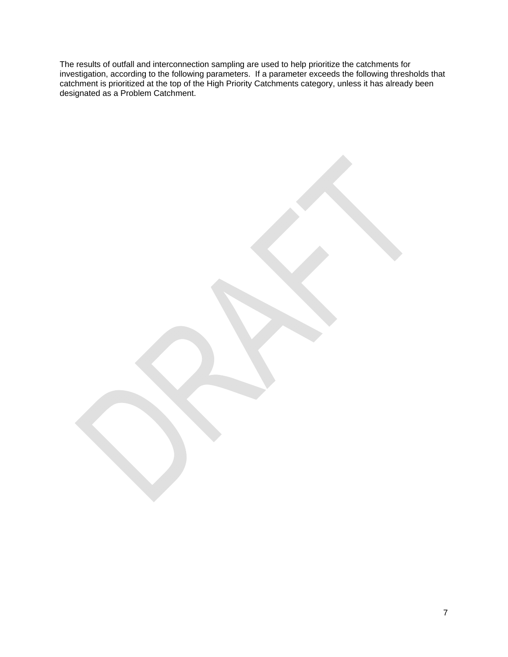The results of outfall and interconnection sampling are used to help prioritize the catchments for investigation, according to the following parameters. If a parameter exceeds the following thresholds that catchment is prioritized at the top of the High Priority Catchments category, unless it has already been designated as a Problem Catchment.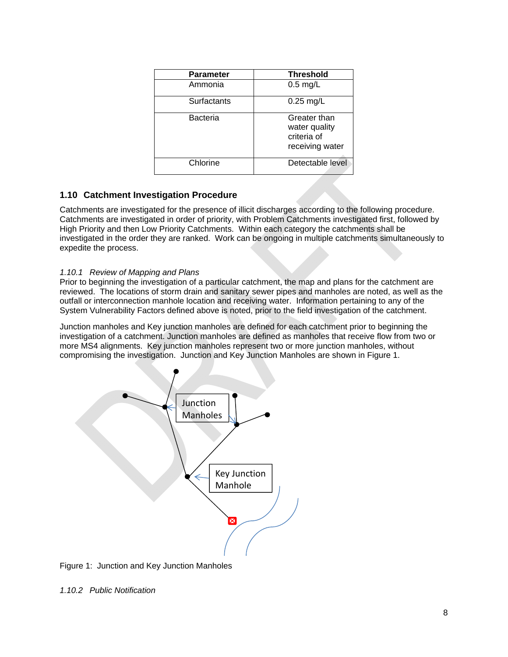| <b>Parameter</b> | <b>Threshold</b>                                                |
|------------------|-----------------------------------------------------------------|
| Ammonia          | $0.5$ mg/L                                                      |
| Surfactants      | $0.25$ mg/L                                                     |
| Bacteria         | Greater than<br>water quality<br>criteria of<br>receiving water |
| Chlorine         | Detectable level                                                |

## **1.10 Catchment Investigation Procedure**

Catchments are investigated for the presence of illicit discharges according to the following procedure. Catchments are investigated in order of priority, with Problem Catchments investigated first, followed by High Priority and then Low Priority Catchments. Within each category the catchments shall be investigated in the order they are ranked. Work can be ongoing in multiple catchments simultaneously to expedite the process.

## *1.10.1 Review of Mapping and Plans*

Prior to beginning the investigation of a particular catchment, the map and plans for the catchment are reviewed. The locations of storm drain and sanitary sewer pipes and manholes are noted, as well as the outfall or interconnection manhole location and receiving water. Information pertaining to any of the System Vulnerability Factors defined above is noted, prior to the field investigation of the catchment.

Junction manholes and Key junction manholes are defined for each catchment prior to beginning the investigation of a catchment. Junction manholes are defined as manholes that receive flow from two or more MS4 alignments. Key junction manholes represent two or more junction manholes, without compromising the investigation. Junction and Key Junction Manholes are shown in Figure 1.



Figure 1: Junction and Key Junction Manholes

*1.10.2 Public Notification*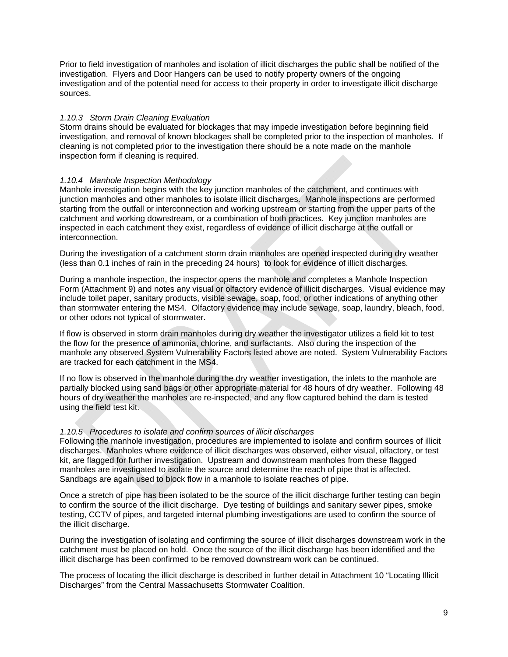Prior to field investigation of manholes and isolation of illicit discharges the public shall be notified of the investigation. Flyers and Door Hangers can be used to notify property owners of the ongoing investigation and of the potential need for access to their property in order to investigate illicit discharge sources.

#### *1.10.3 Storm Drain Cleaning Evaluation*

Storm drains should be evaluated for blockages that may impede investigation before beginning field investigation, and removal of known blockages shall be completed prior to the inspection of manholes. If cleaning is not completed prior to the investigation there should be a note made on the manhole inspection form if cleaning is required.

#### *1.10.4 Manhole Inspection Methodology*

Manhole investigation begins with the key junction manholes of the catchment, and continues with junction manholes and other manholes to isolate illicit discharges. Manhole inspections are performed starting from the outfall or interconnection and working upstream or starting from the upper parts of the catchment and working downstream, or a combination of both practices. Key junction manholes are inspected in each catchment they exist, regardless of evidence of illicit discharge at the outfall or interconnection.

During the investigation of a catchment storm drain manholes are opened inspected during dry weather (less than 0.1 inches of rain in the preceding 24 hours) to look for evidence of illicit discharges.

During a manhole inspection, the inspector opens the manhole and completes a Manhole Inspection Form (Attachment 9) and notes any visual or olfactory evidence of illicit discharges. Visual evidence may include toilet paper, sanitary products, visible sewage, soap, food, or other indications of anything other than stormwater entering the MS4. Olfactory evidence may include sewage, soap, laundry, bleach, food, or other odors not typical of stormwater.

If flow is observed in storm drain manholes during dry weather the investigator utilizes a field kit to test the flow for the presence of ammonia, chlorine, and surfactants. Also during the inspection of the manhole any observed System Vulnerability Factors listed above are noted. System Vulnerability Factors are tracked for each catchment in the MS4.

If no flow is observed in the manhole during the dry weather investigation, the inlets to the manhole are partially blocked using sand bags or other appropriate material for 48 hours of dry weather. Following 48 hours of dry weather the manholes are re-inspected, and any flow captured behind the dam is tested using the field test kit.

#### *1.10.5 Procedures to isolate and confirm sources of illicit discharges*

Following the manhole investigation, procedures are implemented to isolate and confirm sources of illicit discharges. Manholes where evidence of illicit discharges was observed, either visual, olfactory, or test kit, are flagged for further investigation. Upstream and downstream manholes from these flagged manholes are investigated to isolate the source and determine the reach of pipe that is affected. Sandbags are again used to block flow in a manhole to isolate reaches of pipe.

Once a stretch of pipe has been isolated to be the source of the illicit discharge further testing can begin to confirm the source of the illicit discharge. Dye testing of buildings and sanitary sewer pipes, smoke testing, CCTV of pipes, and targeted internal plumbing investigations are used to confirm the source of the illicit discharge.

During the investigation of isolating and confirming the source of illicit discharges downstream work in the catchment must be placed on hold. Once the source of the illicit discharge has been identified and the illicit discharge has been confirmed to be removed downstream work can be continued.

The process of locating the illicit discharge is described in further detail in Attachment 10 "Locating Illicit Discharges" from the Central Massachusetts Stormwater Coalition.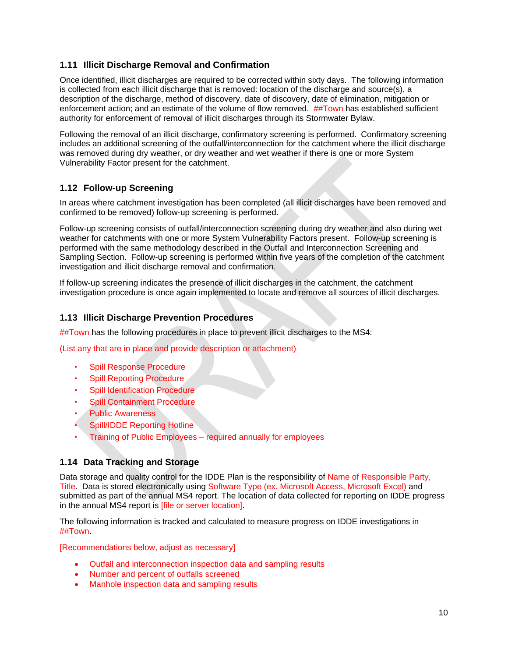# **1.11 Illicit Discharge Removal and Confirmation**

Once identified, illicit discharges are required to be corrected within sixty days. The following information is collected from each illicit discharge that is removed: location of the discharge and source(s), a description of the discharge, method of discovery, date of discovery, date of elimination, mitigation or enforcement action; and an estimate of the volume of flow removed. ##Town has established sufficient authority for enforcement of removal of illicit discharges through its Stormwater Bylaw.

Following the removal of an illicit discharge, confirmatory screening is performed. Confirmatory screening includes an additional screening of the outfall/interconnection for the catchment where the illicit discharge was removed during dry weather, or dry weather and wet weather if there is one or more System Vulnerability Factor present for the catchment.

# **1.12 Follow-up Screening**

In areas where catchment investigation has been completed (all illicit discharges have been removed and confirmed to be removed) follow-up screening is performed.

Follow-up screening consists of outfall/interconnection screening during dry weather and also during wet weather for catchments with one or more System Vulnerability Factors present. Follow-up screening is performed with the same methodology described in the Outfall and Interconnection Screening and Sampling Section. Follow-up screening is performed within five years of the completion of the catchment investigation and illicit discharge removal and confirmation.

If follow-up screening indicates the presence of illicit discharges in the catchment, the catchment investigation procedure is once again implemented to locate and remove all sources of illicit discharges.

## **1.13 Illicit Discharge Prevention Procedures**

##Town has the following procedures in place to prevent illicit discharges to the MS4:

(List any that are in place and provide description or attachment)

- Spill Response Procedure
- Spill Reporting Procedure
- **Spill Identification Procedure**
- Spill Containment Procedure
- Public Awareness
- Spill/IDDE Reporting Hotline
- Training of Public Employees required annually for employees

## **1.14 Data Tracking and Storage**

Data storage and quality control for the IDDE Plan is the responsibility of Name of Responsible Party, Title. Data is stored electronically using Software Type (ex. Microsoft Access, Microsoft Excel) and submitted as part of the annual MS4 report. The location of data collected for reporting on IDDE progress in the annual MS4 report is [file or server location].

The following information is tracked and calculated to measure progress on IDDE investigations in ##Town.

[Recommendations below, adjust as necessary]

- Outfall and interconnection inspection data and sampling results
- Number and percent of outfalls screened
- Manhole inspection data and sampling results